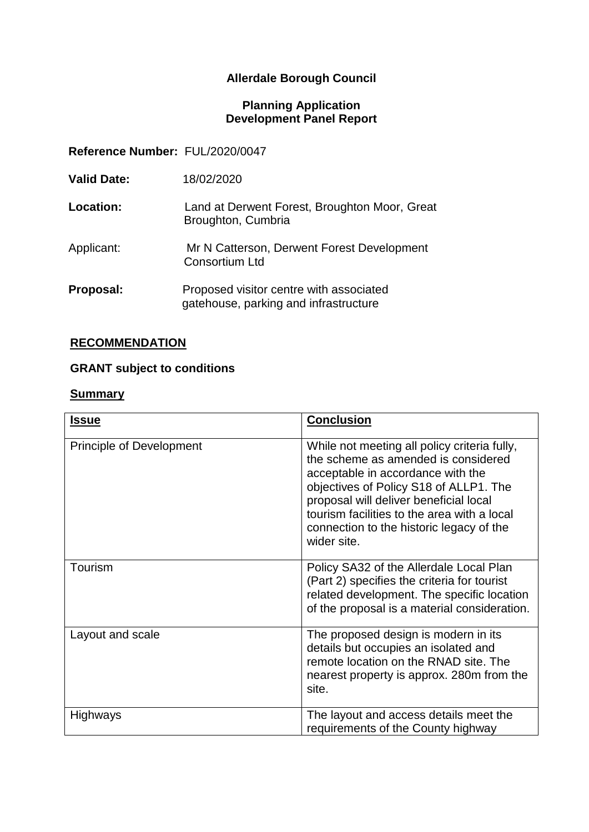# **Allerdale Borough Council**

#### **Planning Application Development Panel Report**

**Reference Number:** FUL/2020/0047

| <b>Valid Date:</b> | 18/02/2020                                                                       |
|--------------------|----------------------------------------------------------------------------------|
| Location:          | Land at Derwent Forest, Broughton Moor, Great<br>Broughton, Cumbria              |
| Applicant:         | Mr N Catterson, Derwent Forest Development<br><b>Consortium Ltd</b>              |
| Proposal:          | Proposed visitor centre with associated<br>gatehouse, parking and infrastructure |

## **RECOMMENDATION**

# **GRANT subject to conditions**

#### **Summary**

| <b>Issue</b>                    | <b>Conclusion</b>                                                                                                                                                                                                                                                                                                      |
|---------------------------------|------------------------------------------------------------------------------------------------------------------------------------------------------------------------------------------------------------------------------------------------------------------------------------------------------------------------|
| <b>Principle of Development</b> | While not meeting all policy criteria fully,<br>the scheme as amended is considered<br>acceptable in accordance with the<br>objectives of Policy S18 of ALLP1. The<br>proposal will deliver beneficial local<br>tourism facilities to the area with a local<br>connection to the historic legacy of the<br>wider site. |
| Tourism                         | Policy SA32 of the Allerdale Local Plan<br>(Part 2) specifies the criteria for tourist<br>related development. The specific location<br>of the proposal is a material consideration.                                                                                                                                   |
| Layout and scale                | The proposed design is modern in its<br>details but occupies an isolated and<br>remote location on the RNAD site. The<br>nearest property is approx. 280m from the<br>site.                                                                                                                                            |
| <b>Highways</b>                 | The layout and access details meet the<br>requirements of the County highway                                                                                                                                                                                                                                           |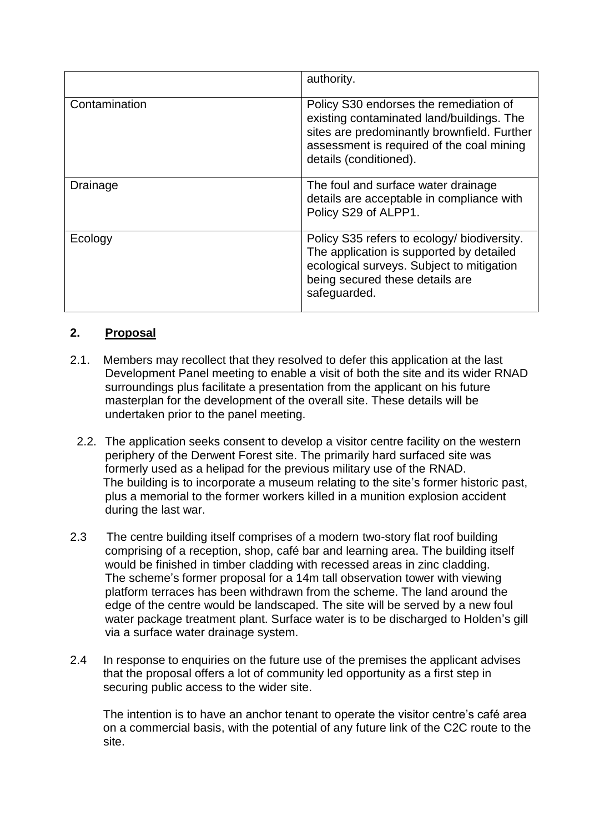|               | authority.                                                                                                                                                                                                |
|---------------|-----------------------------------------------------------------------------------------------------------------------------------------------------------------------------------------------------------|
| Contamination | Policy S30 endorses the remediation of<br>existing contaminated land/buildings. The<br>sites are predominantly brownfield. Further<br>assessment is required of the coal mining<br>details (conditioned). |
| Drainage      | The foul and surface water drainage<br>details are acceptable in compliance with<br>Policy S29 of ALPP1.                                                                                                  |
| Ecology       | Policy S35 refers to ecology/ biodiversity.<br>The application is supported by detailed<br>ecological surveys. Subject to mitigation<br>being secured these details are<br>safeguarded.                   |

## **2. Proposal**

- 2.1. Members may recollect that they resolved to defer this application at the last Development Panel meeting to enable a visit of both the site and its wider RNAD surroundings plus facilitate a presentation from the applicant on his future masterplan for the development of the overall site. These details will be undertaken prior to the panel meeting.
	- 2.2. The application seeks consent to develop a visitor centre facility on the western periphery of the Derwent Forest site. The primarily hard surfaced site was formerly used as a helipad for the previous military use of the RNAD. The building is to incorporate a museum relating to the site's former historic past, plus a memorial to the former workers killed in a munition explosion accident during the last war.
- 2.3 The centre building itself comprises of a modern two-story flat roof building comprising of a reception, shop, café bar and learning area. The building itself would be finished in timber cladding with recessed areas in zinc cladding. The scheme's former proposal for a 14m tall observation tower with viewing platform terraces has been withdrawn from the scheme. The land around the edge of the centre would be landscaped. The site will be served by a new foul water package treatment plant. Surface water is to be discharged to Holden's gill via a surface water drainage system.
- 2.4 In response to enquiries on the future use of the premises the applicant advises that the proposal offers a lot of community led opportunity as a first step in securing public access to the wider site.

 The intention is to have an anchor tenant to operate the visitor centre's café area on a commercial basis, with the potential of any future link of the C2C route to the site.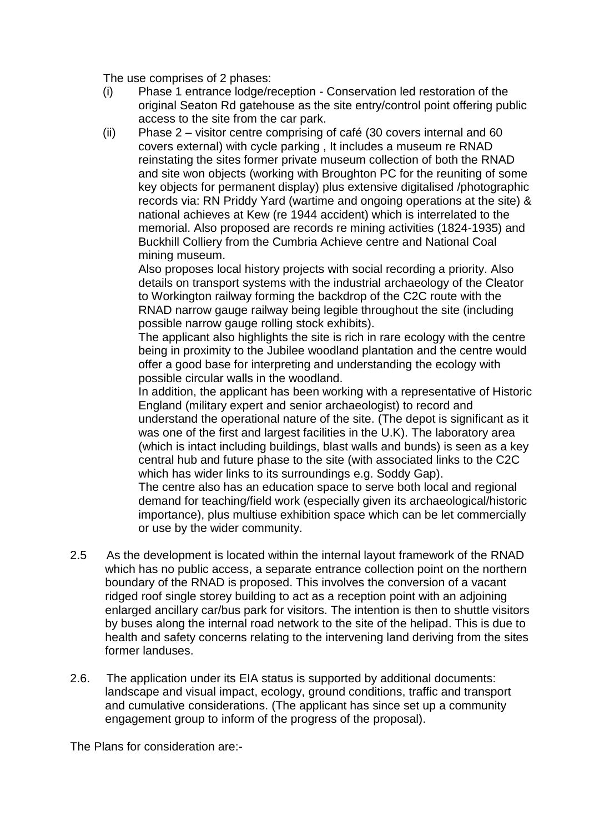The use comprises of 2 phases:

- (i) Phase 1 entrance lodge/reception Conservation led restoration of the original Seaton Rd gatehouse as the site entry/control point offering public access to the site from the car park.
- (ii) Phase 2 visitor centre comprising of café (30 covers internal and 60 covers external) with cycle parking , It includes a museum re RNAD reinstating the sites former private museum collection of both the RNAD and site won objects (working with Broughton PC for the reuniting of some key objects for permanent display) plus extensive digitalised /photographic records via: RN Priddy Yard (wartime and ongoing operations at the site) & national achieves at Kew (re 1944 accident) which is interrelated to the memorial. Also proposed are records re mining activities (1824-1935) and Buckhill Colliery from the Cumbria Achieve centre and National Coal mining museum.

Also proposes local history projects with social recording a priority. Also details on transport systems with the industrial archaeology of the Cleator to Workington railway forming the backdrop of the C2C route with the RNAD narrow gauge railway being legible throughout the site (including possible narrow gauge rolling stock exhibits).

The applicant also highlights the site is rich in rare ecology with the centre being in proximity to the Jubilee woodland plantation and the centre would offer a good base for interpreting and understanding the ecology with possible circular walls in the woodland.

In addition, the applicant has been working with a representative of Historic England (military expert and senior archaeologist) to record and understand the operational nature of the site. (The depot is significant as it was one of the first and largest facilities in the U.K). The laboratory area (which is intact including buildings, blast walls and bunds) is seen as a key central hub and future phase to the site (with associated links to the C2C which has wider links to its surroundings e.g. Soddy Gap).

The centre also has an education space to serve both local and regional demand for teaching/field work (especially given its archaeological/historic importance), plus multiuse exhibition space which can be let commercially or use by the wider community.

- 2.5 As the development is located within the internal layout framework of the RNAD which has no public access, a separate entrance collection point on the northern boundary of the RNAD is proposed. This involves the conversion of a vacant ridged roof single storey building to act as a reception point with an adjoining enlarged ancillary car/bus park for visitors. The intention is then to shuttle visitors by buses along the internal road network to the site of the helipad. This is due to health and safety concerns relating to the intervening land deriving from the sites former landuses.
- 2.6. The application under its EIA status is supported by additional documents: landscape and visual impact, ecology, ground conditions, traffic and transport and cumulative considerations. (The applicant has since set up a community engagement group to inform of the progress of the proposal).

The Plans for consideration are:-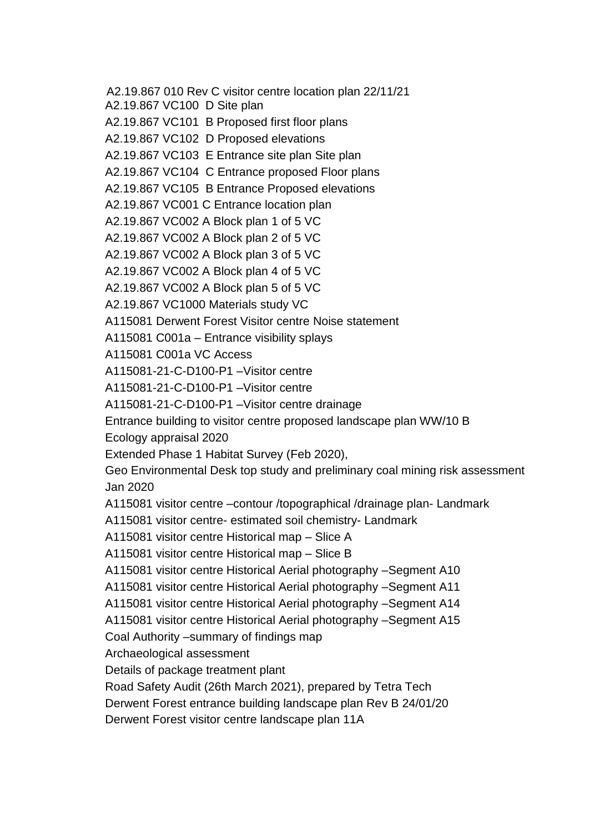A2.19.867 010 Rev C visitor centre location plan 22/11/21

A2.19.867 VC100 D Site plan

A2.19.867 VC101 B Proposed first floor plans

A2.19.867 VC102 D Proposed elevations

A2.19.867 VC103 E Entrance site plan Site plan

A2.19.867 VC104 C Entrance proposed Floor plans

A2.19.867 VC105 B Entrance Proposed elevations

A2.19.867 VC001 C Entrance location plan

A2.19.867 VC002 A Block plan 1 of 5 VC

A2.19.867 VC002 A Block plan 2 of 5 VC

A2.19.867 VC002 A Block plan 3 of 5 VC

A2.19.867 VC002 A Block plan 4 of 5 VC

A2.19.867 VC002 A Block plan 5 of 5 VC

A2.19.867 VC1000 Materials study VC

A115081 Derwent Forest Visitor centre Noise statement

A115081 C001a – Entrance visibility splays

A115081 C001a VC Access

A115081-21-C-D100-P1 –Visitor centre

A115081-21-C-D100-P1 –Visitor centre

A115081-21-C-D100-P1 –Visitor centre drainage

Entrance building to visitor centre proposed landscape plan WW/10 B

Ecology appraisal 2020

Extended Phase 1 Habitat Survey (Feb 2020),

Geo Environmental Desk top study and preliminary coal mining risk assessment Jan 2020

A115081 visitor centre –contour /topographical /drainage plan- Landmark

A115081 visitor centre- estimated soil chemistry- Landmark

A115081 visitor centre Historical map – Slice A

A115081 visitor centre Historical map – Slice B

A115081 visitor centre Historical Aerial photography –Segment A10

A115081 visitor centre Historical Aerial photography –Segment A11

A115081 visitor centre Historical Aerial photography –Segment A14

A115081 visitor centre Historical Aerial photography –Segment A15

Coal Authority –summary of findings map

Archaeological assessment

Details of package treatment plant

Road Safety Audit (26th March 2021), prepared by Tetra Tech

Derwent Forest entrance building landscape plan Rev B 24/01/20

Derwent Forest visitor centre landscape plan 11A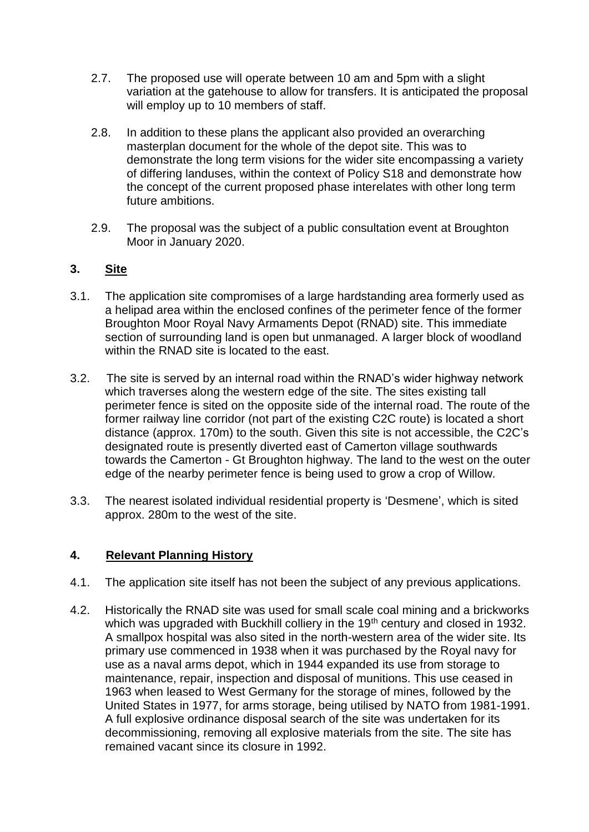- 2.7. The proposed use will operate between 10 am and 5pm with a slight variation at the gatehouse to allow for transfers. It is anticipated the proposal will employ up to 10 members of staff.
- 2.8. In addition to these plans the applicant also provided an overarching masterplan document for the whole of the depot site. This was to demonstrate the long term visions for the wider site encompassing a variety of differing landuses, within the context of Policy S18 and demonstrate how the concept of the current proposed phase interelates with other long term future ambitions.
- 2.9. The proposal was the subject of a public consultation event at Broughton Moor in January 2020.

## **3. Site**

- 3.1. The application site compromises of a large hardstanding area formerly used as a helipad area within the enclosed confines of the perimeter fence of the former Broughton Moor Royal Navy Armaments Depot (RNAD) site. This immediate section of surrounding land is open but unmanaged. A larger block of woodland within the RNAD site is located to the east.
- 3.2. The site is served by an internal road within the RNAD's wider highway network which traverses along the western edge of the site. The sites existing tall perimeter fence is sited on the opposite side of the internal road. The route of the former railway line corridor (not part of the existing C2C route) is located a short distance (approx. 170m) to the south. Given this site is not accessible, the C2C's designated route is presently diverted east of Camerton village southwards towards the Camerton - Gt Broughton highway. The land to the west on the outer edge of the nearby perimeter fence is being used to grow a crop of Willow.
- 3.3. The nearest isolated individual residential property is 'Desmene', which is sited approx. 280m to the west of the site.

### **4. Relevant Planning History**

- 4.1. The application site itself has not been the subject of any previous applications.
- 4.2. Historically the RNAD site was used for small scale coal mining and a brickworks which was upgraded with Buckhill colliery in the 19<sup>th</sup> century and closed in 1932. A smallpox hospital was also sited in the north-western area of the wider site. Its primary use commenced in 1938 when it was purchased by the Royal navy for use as a naval arms depot, which in 1944 expanded its use from storage to maintenance, repair, inspection and disposal of munitions. This use ceased in 1963 when leased to West Germany for the storage of mines, followed by the United States in 1977, for arms storage, being utilised by NATO from 1981-1991. A full explosive ordinance disposal search of the site was undertaken for its decommissioning, removing all explosive materials from the site. The site has remained vacant since its closure in 1992.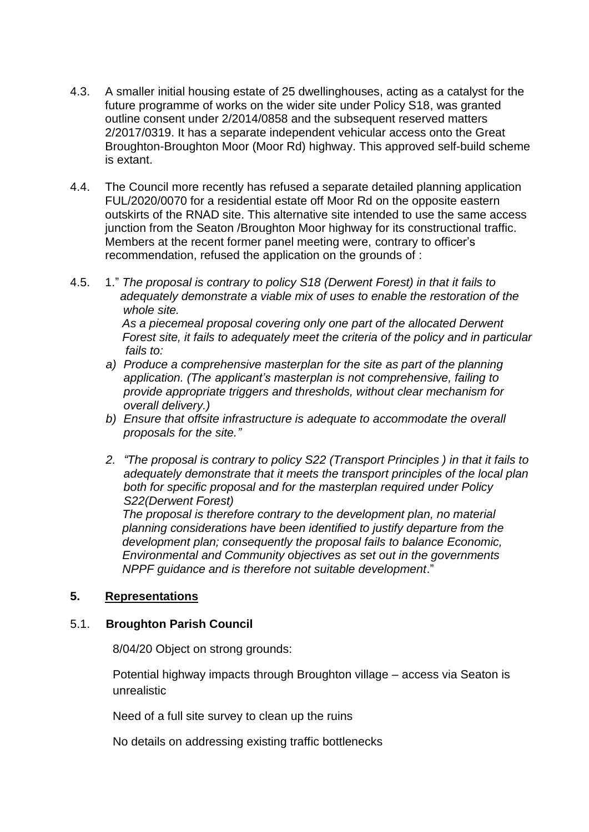- 4.3. A smaller initial housing estate of 25 dwellinghouses, acting as a catalyst for the future programme of works on the wider site under Policy S18, was granted outline consent under 2/2014/0858 and the subsequent reserved matters 2/2017/0319. It has a separate independent vehicular access onto the Great Broughton-Broughton Moor (Moor Rd) highway. This approved self-build scheme is extant.
- 4.4. The Council more recently has refused a separate detailed planning application FUL/2020/0070 for a residential estate off Moor Rd on the opposite eastern outskirts of the RNAD site. This alternative site intended to use the same access junction from the Seaton /Broughton Moor highway for its constructional traffic. Members at the recent former panel meeting were, contrary to officer's recommendation, refused the application on the grounds of :
- 4.5. 1." *The proposal is contrary to policy S18 (Derwent Forest) in that it fails to adequately demonstrate a viable mix of uses to enable the restoration of the whole site. As a piecemeal proposal covering only one part of the allocated Derwent Forest site, it fails to adequately meet the criteria of the policy and in particular fails to:*
	- *a) Produce a comprehensive masterplan for the site as part of the planning application. (The applicant's masterplan is not comprehensive, failing to provide appropriate triggers and thresholds, without clear mechanism for overall delivery.)*
	- *b) Ensure that offsite infrastructure is adequate to accommodate the overall proposals for the site."*
	- *2. "The proposal is contrary to policy S22 (Transport Principles ) in that it fails to adequately demonstrate that it meets the transport principles of the local plan both for specific proposal and for the masterplan required under Policy S22(Derwent Forest)*

 *The proposal is therefore contrary to the development plan, no material planning considerations have been identified to justify departure from the development plan; consequently the proposal fails to balance Economic, Environmental and Community objectives as set out in the governments NPPF guidance and is therefore not suitable development*."

## **5. Representations**

### 5.1. **Broughton Parish Council**

8/04/20 Object on strong grounds:

Potential highway impacts through Broughton village – access via Seaton is unrealistic

Need of a full site survey to clean up the ruins

No details on addressing existing traffic bottlenecks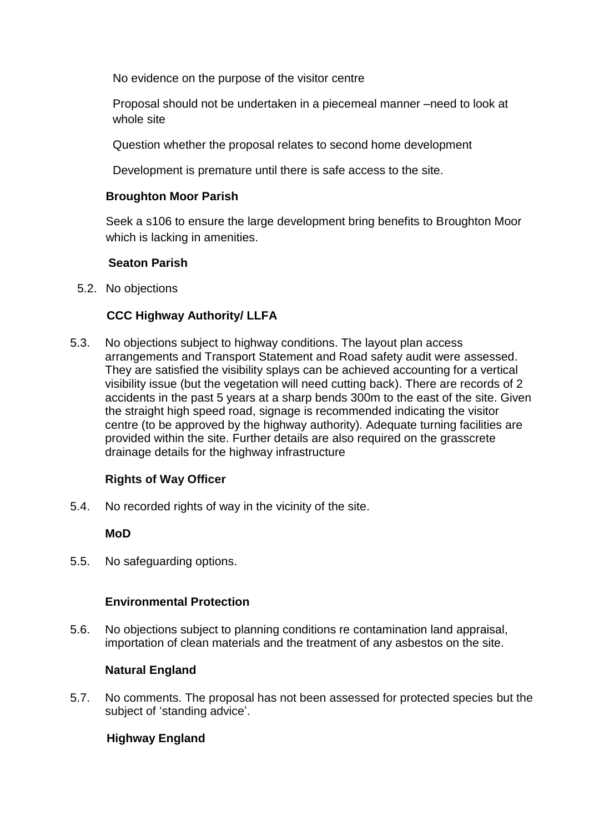No evidence on the purpose of the visitor centre

Proposal should not be undertaken in a piecemeal manner –need to look at whole site

Question whether the proposal relates to second home development

Development is premature until there is safe access to the site.

## **Broughton Moor Parish**

Seek a s106 to ensure the large development bring benefits to Broughton Moor which is lacking in amenities.

## **Seaton Parish**

5.2. No objections

## **CCC Highway Authority/ LLFA**

5.3. No objections subject to highway conditions. The layout plan access arrangements and Transport Statement and Road safety audit were assessed. They are satisfied the visibility splays can be achieved accounting for a vertical visibility issue (but the vegetation will need cutting back). There are records of 2 accidents in the past 5 years at a sharp bends 300m to the east of the site. Given the straight high speed road, signage is recommended indicating the visitor centre (to be approved by the highway authority). Adequate turning facilities are provided within the site. Further details are also required on the grasscrete drainage details for the highway infrastructure

## **Rights of Way Officer**

5.4. No recorded rights of way in the vicinity of the site.

## **MoD**

5.5. No safeguarding options.

## **Environmental Protection**

5.6. No objections subject to planning conditions re contamination land appraisal, importation of clean materials and the treatment of any asbestos on the site.

## **Natural England**

5.7. No comments. The proposal has not been assessed for protected species but the subject of 'standing advice'.

## **Highway England**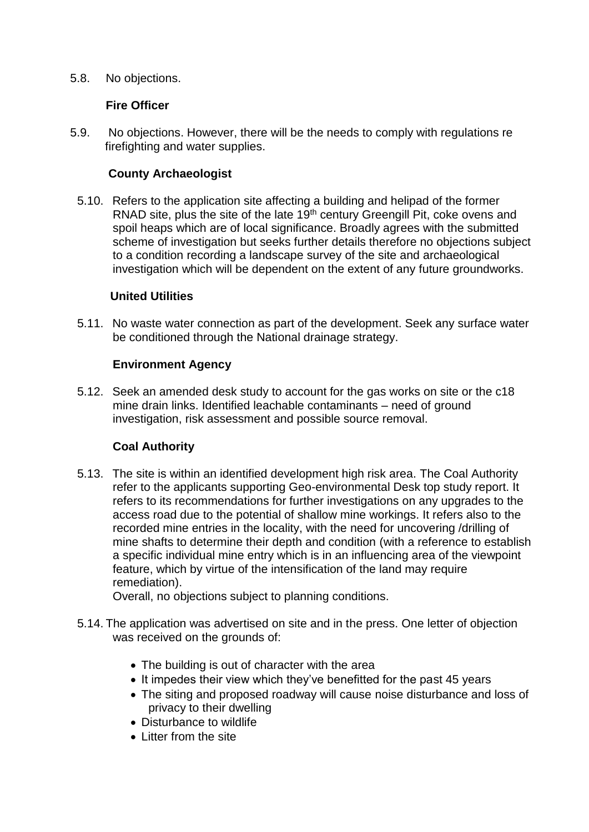5.8. No objections.

### **Fire Officer**

5.9. No objections. However, there will be the needs to comply with regulations re firefighting and water supplies.

### **County Archaeologist**

5.10. Refers to the application site affecting a building and helipad of the former RNAD site, plus the site of the late 19<sup>th</sup> century Greengill Pit, coke ovens and spoil heaps which are of local significance. Broadly agrees with the submitted scheme of investigation but seeks further details therefore no objections subject to a condition recording a landscape survey of the site and archaeological investigation which will be dependent on the extent of any future groundworks.

### **United Utilities**

5.11. No waste water connection as part of the development. Seek any surface water be conditioned through the National drainage strategy.

### **Environment Agency**

5.12. Seek an amended desk study to account for the gas works on site or the c18 mine drain links. Identified leachable contaminants – need of ground investigation, risk assessment and possible source removal.

### **Coal Authority**

5.13. The site is within an identified development high risk area. The Coal Authority refer to the applicants supporting Geo-environmental Desk top study report. It refers to its recommendations for further investigations on any upgrades to the access road due to the potential of shallow mine workings. It refers also to the recorded mine entries in the locality, with the need for uncovering /drilling of mine shafts to determine their depth and condition (with a reference to establish a specific individual mine entry which is in an influencing area of the viewpoint feature, which by virtue of the intensification of the land may require remediation).

Overall, no objections subject to planning conditions.

- 5.14. The application was advertised on site and in the press. One letter of objection was received on the grounds of:
	- The building is out of character with the area
	- It impedes their view which they've benefitted for the past 45 years
	- The siting and proposed roadway will cause noise disturbance and loss of privacy to their dwelling
	- Disturbance to wildlife
	- Litter from the site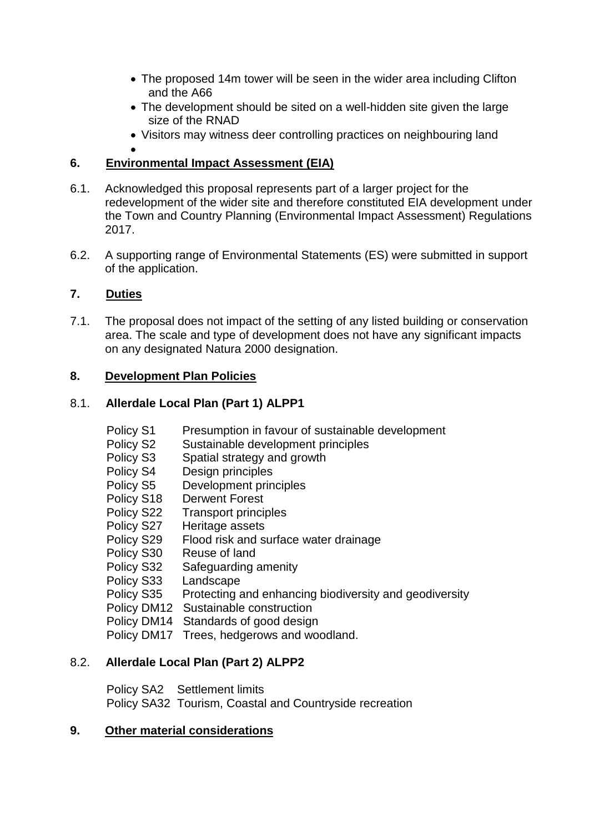- The proposed 14m tower will be seen in the wider area including Clifton and the A66
- The development should be sited on a well-hidden site given the large size of the RNAD
- Visitors may witness deer controlling practices on neighbouring land

#### $\bullet$ **6. Environmental Impact Assessment (EIA)**

- 6.1. Acknowledged this proposal represents part of a larger project for the redevelopment of the wider site and therefore constituted EIA development under the Town and Country Planning (Environmental Impact Assessment) Regulations 2017.
- 6.2. A supporting range of Environmental Statements (ES) were submitted in support of the application.

## **7. Duties**

7.1. The proposal does not impact of the setting of any listed building or conservation area. The scale and type of development does not have any significant impacts on any designated Natura 2000 designation.

## **8. Development Plan Policies**

## 8.1. **Allerdale Local Plan (Part 1) ALPP1**

- Policy S1 Presumption in favour of sustainable development
- Policy S2 Sustainable development principles
- Policy S3 Spatial strategy and growth
- Policy S4 Design principles
- Policy S5 Development principles
- Policy S18 Derwent Forest
- Policy S22 Transport principles
- Policy S27 Heritage assets
- Policy S29 Flood risk and surface water drainage
- Policy S30 Reuse of land
- Policy S32 Safeguarding amenity
- Policy S33 Landscape
- Policy S35 Protecting and enhancing biodiversity and geodiversity
- Policy DM12 Sustainable construction
- Policy DM14 Standards of good design
- Policy DM17 Trees, hedgerows and woodland.

## 8.2. **Allerdale Local Plan (Part 2) ALPP2**

 Policy SA2 Settlement limits Policy SA32 Tourism, Coastal and Countryside recreation

## **9. Other material considerations**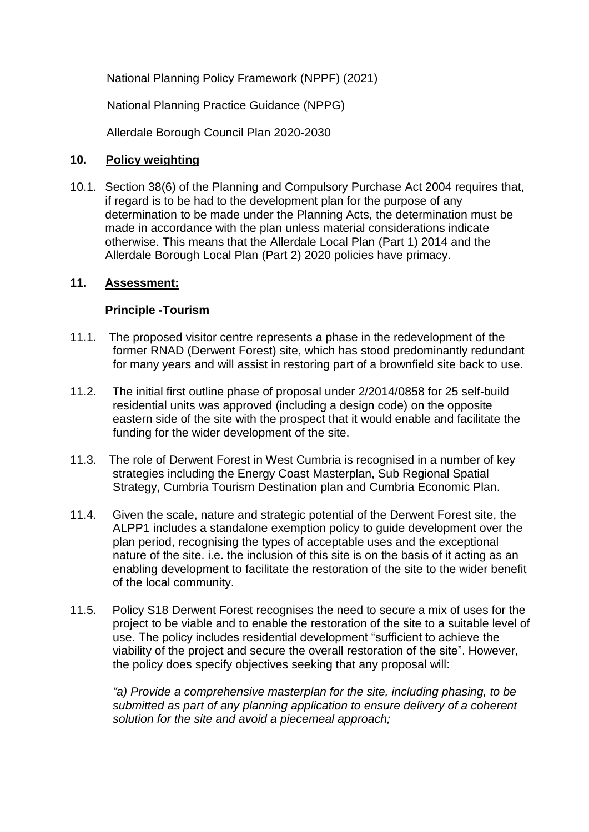National Planning Policy Framework (NPPF) (2021)

National Planning Practice Guidance (NPPG)

Allerdale Borough Council Plan 2020-2030

## **10. Policy weighting**

10.1. Section 38(6) of the Planning and Compulsory Purchase Act 2004 requires that, if regard is to be had to the development plan for the purpose of any determination to be made under the Planning Acts, the determination must be made in accordance with the plan unless material considerations indicate otherwise. This means that the Allerdale Local Plan (Part 1) 2014 and the Allerdale Borough Local Plan (Part 2) 2020 policies have primacy.

## **11. Assessment:**

## **Principle -Tourism**

- 11.1. The proposed visitor centre represents a phase in the redevelopment of the former RNAD (Derwent Forest) site, which has stood predominantly redundant for many years and will assist in restoring part of a brownfield site back to use.
- 11.2. The initial first outline phase of proposal under 2/2014/0858 for 25 self-build residential units was approved (including a design code) on the opposite eastern side of the site with the prospect that it would enable and facilitate the funding for the wider development of the site.
- 11.3. The role of Derwent Forest in West Cumbria is recognised in a number of key strategies including the Energy Coast Masterplan, Sub Regional Spatial Strategy, Cumbria Tourism Destination plan and Cumbria Economic Plan.
- 11.4. Given the scale, nature and strategic potential of the Derwent Forest site, the ALPP1 includes a standalone exemption policy to guide development over the plan period, recognising the types of acceptable uses and the exceptional nature of the site. i.e. the inclusion of this site is on the basis of it acting as an enabling development to facilitate the restoration of the site to the wider benefit of the local community.
- 11.5. Policy S18 Derwent Forest recognises the need to secure a mix of uses for the project to be viable and to enable the restoration of the site to a suitable level of use. The policy includes residential development "sufficient to achieve the viability of the project and secure the overall restoration of the site". However, the policy does specify objectives seeking that any proposal will:

*"a) Provide a comprehensive masterplan for the site, including phasing, to be submitted as part of any planning application to ensure delivery of a coherent solution for the site and avoid a piecemeal approach;*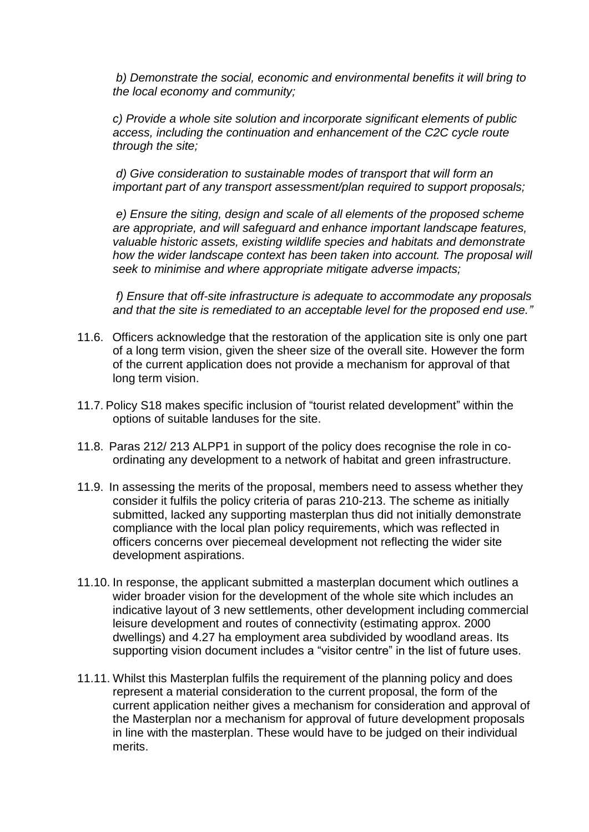*b) Demonstrate the social, economic and environmental benefits it will bring to the local economy and community;*

*c) Provide a whole site solution and incorporate significant elements of public access, including the continuation and enhancement of the C2C cycle route through the site;*

*d) Give consideration to sustainable modes of transport that will form an important part of any transport assessment/plan required to support proposals;*

*e) Ensure the siting, design and scale of all elements of the proposed scheme are appropriate, and will safeguard and enhance important landscape features, valuable historic assets, existing wildlife species and habitats and demonstrate how the wider landscape context has been taken into account. The proposal will seek to minimise and where appropriate mitigate adverse impacts;*

*f) Ensure that off-site infrastructure is adequate to accommodate any proposals and that the site is remediated to an acceptable level for the proposed end use."*

- 11.6. Officers acknowledge that the restoration of the application site is only one part of a long term vision, given the sheer size of the overall site. However the form of the current application does not provide a mechanism for approval of that long term vision.
- 11.7. Policy S18 makes specific inclusion of "tourist related development" within the options of suitable landuses for the site.
- 11.8. Paras 212/ 213 ALPP1 in support of the policy does recognise the role in coordinating any development to a network of habitat and green infrastructure.
- 11.9. In assessing the merits of the proposal, members need to assess whether they consider it fulfils the policy criteria of paras 210-213. The scheme as initially submitted, lacked any supporting masterplan thus did not initially demonstrate compliance with the local plan policy requirements, which was reflected in officers concerns over piecemeal development not reflecting the wider site development aspirations.
- 11.10. In response, the applicant submitted a masterplan document which outlines a wider broader vision for the development of the whole site which includes an indicative layout of 3 new settlements, other development including commercial leisure development and routes of connectivity (estimating approx. 2000 dwellings) and 4.27 ha employment area subdivided by woodland areas. Its supporting vision document includes a "visitor centre" in the list of future uses.
- 11.11. Whilst this Masterplan fulfils the requirement of the planning policy and does represent a material consideration to the current proposal, the form of the current application neither gives a mechanism for consideration and approval of the Masterplan nor a mechanism for approval of future development proposals in line with the masterplan. These would have to be judged on their individual merits.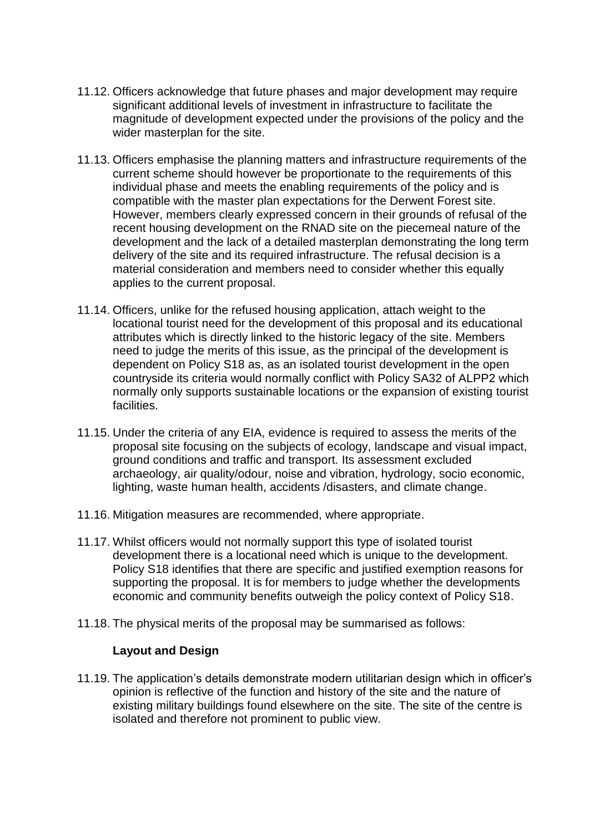- 11.12. Officers acknowledge that future phases and major development may require significant additional levels of investment in infrastructure to facilitate the magnitude of development expected under the provisions of the policy and the wider masterplan for the site.
- 11.13. Officers emphasise the planning matters and infrastructure requirements of the current scheme should however be proportionate to the requirements of this individual phase and meets the enabling requirements of the policy and is compatible with the master plan expectations for the Derwent Forest site. However, members clearly expressed concern in their grounds of refusal of the recent housing development on the RNAD site on the piecemeal nature of the development and the lack of a detailed masterplan demonstrating the long term delivery of the site and its required infrastructure. The refusal decision is a material consideration and members need to consider whether this equally applies to the current proposal.
- 11.14. Officers, unlike for the refused housing application, attach weight to the locational tourist need for the development of this proposal and its educational attributes which is directly linked to the historic legacy of the site. Members need to judge the merits of this issue, as the principal of the development is dependent on Policy S18 as, as an isolated tourist development in the open countryside its criteria would normally conflict with Policy SA32 of ALPP2 which normally only supports sustainable locations or the expansion of existing tourist facilities.
- 11.15. Under the criteria of any EIA, evidence is required to assess the merits of the proposal site focusing on the subjects of ecology, landscape and visual impact, ground conditions and traffic and transport. Its assessment excluded archaeology, air quality/odour, noise and vibration, hydrology, socio economic, lighting, waste human health, accidents /disasters, and climate change.
- 11.16. Mitigation measures are recommended, where appropriate.
- 11.17. Whilst officers would not normally support this type of isolated tourist development there is a locational need which is unique to the development. Policy S18 identifies that there are specific and justified exemption reasons for supporting the proposal. It is for members to judge whether the developments economic and community benefits outweigh the policy context of Policy S18.
- 11.18. The physical merits of the proposal may be summarised as follows:

### **Layout and Design**

11.19. The application's details demonstrate modern utilitarian design which in officer's opinion is reflective of the function and history of the site and the nature of existing military buildings found elsewhere on the site. The site of the centre is isolated and therefore not prominent to public view.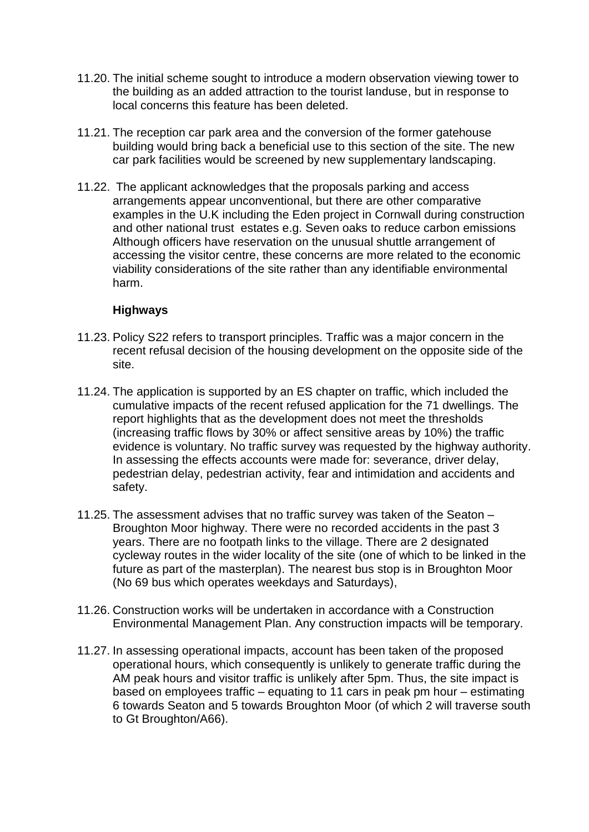- 11.20. The initial scheme sought to introduce a modern observation viewing tower to the building as an added attraction to the tourist landuse, but in response to local concerns this feature has been deleted.
- 11.21. The reception car park area and the conversion of the former gatehouse building would bring back a beneficial use to this section of the site. The new car park facilities would be screened by new supplementary landscaping.
- 11.22. The applicant acknowledges that the proposals parking and access arrangements appear unconventional, but there are other comparative examples in the U.K including the Eden project in Cornwall during construction and other national trust estates e.g. Seven oaks to reduce carbon emissions Although officers have reservation on the unusual shuttle arrangement of accessing the visitor centre, these concerns are more related to the economic viability considerations of the site rather than any identifiable environmental harm.

### **Highways**

- 11.23. Policy S22 refers to transport principles. Traffic was a major concern in the recent refusal decision of the housing development on the opposite side of the site.
- 11.24. The application is supported by an ES chapter on traffic, which included the cumulative impacts of the recent refused application for the 71 dwellings. The report highlights that as the development does not meet the thresholds (increasing traffic flows by 30% or affect sensitive areas by 10%) the traffic evidence is voluntary. No traffic survey was requested by the highway authority. In assessing the effects accounts were made for: severance, driver delay, pedestrian delay, pedestrian activity, fear and intimidation and accidents and safety.
- 11.25. The assessment advises that no traffic survey was taken of the Seaton Broughton Moor highway. There were no recorded accidents in the past 3 years. There are no footpath links to the village. There are 2 designated cycleway routes in the wider locality of the site (one of which to be linked in the future as part of the masterplan). The nearest bus stop is in Broughton Moor (No 69 bus which operates weekdays and Saturdays),
- 11.26. Construction works will be undertaken in accordance with a Construction Environmental Management Plan. Any construction impacts will be temporary.
- 11.27. In assessing operational impacts, account has been taken of the proposed operational hours, which consequently is unlikely to generate traffic during the AM peak hours and visitor traffic is unlikely after 5pm. Thus, the site impact is based on employees traffic – equating to 11 cars in peak pm hour – estimating 6 towards Seaton and 5 towards Broughton Moor (of which 2 will traverse south to Gt Broughton/A66).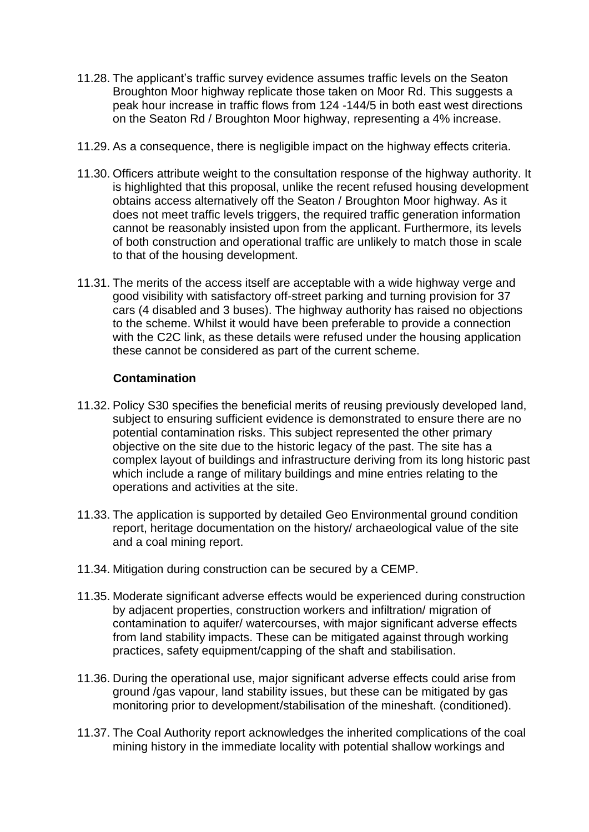- 11.28. The applicant's traffic survey evidence assumes traffic levels on the Seaton Broughton Moor highway replicate those taken on Moor Rd. This suggests a peak hour increase in traffic flows from 124 -144/5 in both east west directions on the Seaton Rd / Broughton Moor highway, representing a 4% increase.
- 11.29. As a consequence, there is negligible impact on the highway effects criteria.
- 11.30. Officers attribute weight to the consultation response of the highway authority. It is highlighted that this proposal, unlike the recent refused housing development obtains access alternatively off the Seaton / Broughton Moor highway. As it does not meet traffic levels triggers, the required traffic generation information cannot be reasonably insisted upon from the applicant. Furthermore, its levels of both construction and operational traffic are unlikely to match those in scale to that of the housing development.
- 11.31. The merits of the access itself are acceptable with a wide highway verge and good visibility with satisfactory off-street parking and turning provision for 37 cars (4 disabled and 3 buses). The highway authority has raised no objections to the scheme. Whilst it would have been preferable to provide a connection with the C2C link, as these details were refused under the housing application these cannot be considered as part of the current scheme.

### **Contamination**

- 11.32. Policy S30 specifies the beneficial merits of reusing previously developed land, subject to ensuring sufficient evidence is demonstrated to ensure there are no potential contamination risks. This subject represented the other primary objective on the site due to the historic legacy of the past. The site has a complex layout of buildings and infrastructure deriving from its long historic past which include a range of military buildings and mine entries relating to the operations and activities at the site.
- 11.33. The application is supported by detailed Geo Environmental ground condition report, heritage documentation on the history/ archaeological value of the site and a coal mining report.
- 11.34. Mitigation during construction can be secured by a CEMP.
- 11.35. Moderate significant adverse effects would be experienced during construction by adjacent properties, construction workers and infiltration/ migration of contamination to aquifer/ watercourses, with major significant adverse effects from land stability impacts. These can be mitigated against through working practices, safety equipment/capping of the shaft and stabilisation.
- 11.36. During the operational use, major significant adverse effects could arise from ground /gas vapour, land stability issues, but these can be mitigated by gas monitoring prior to development/stabilisation of the mineshaft. (conditioned).
- 11.37. The Coal Authority report acknowledges the inherited complications of the coal mining history in the immediate locality with potential shallow workings and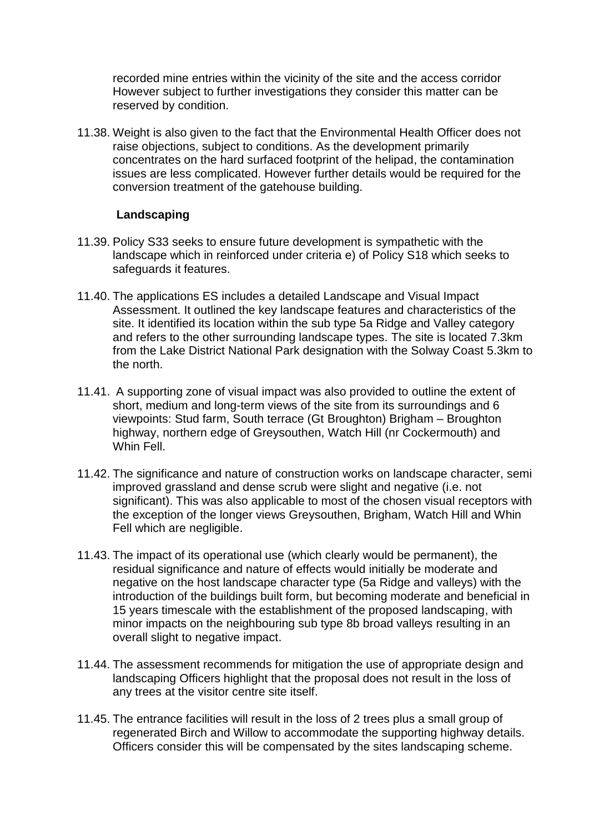recorded mine entries within the vicinity of the site and the access corridor However subject to further investigations they consider this matter can be reserved by condition.

11.38. Weight is also given to the fact that the Environmental Health Officer does not raise objections, subject to conditions. As the development primarily concentrates on the hard surfaced footprint of the helipad, the contamination issues are less complicated. However further details would be required for the conversion treatment of the gatehouse building.

### **Landscaping**

- 11.39. Policy S33 seeks to ensure future development is sympathetic with the landscape which in reinforced under criteria e) of Policy S18 which seeks to safeguards it features.
- 11.40. The applications ES includes a detailed Landscape and Visual Impact Assessment. It outlined the key landscape features and characteristics of the site. It identified its location within the sub type 5a Ridge and Valley category and refers to the other surrounding landscape types. The site is located 7.3km from the Lake District National Park designation with the Solway Coast 5.3km to the north.
- 11.41. A supporting zone of visual impact was also provided to outline the extent of short, medium and long-term views of the site from its surroundings and 6 viewpoints: Stud farm, South terrace (Gt Broughton) Brigham – Broughton highway, northern edge of Greysouthen, Watch Hill (nr Cockermouth) and Whin Fell.
- 11.42. The significance and nature of construction works on landscape character, semi improved grassland and dense scrub were slight and negative (i.e. not significant). This was also applicable to most of the chosen visual receptors with the exception of the longer views Greysouthen, Brigham, Watch Hill and Whin Fell which are negligible.
- 11.43. The impact of its operational use (which clearly would be permanent), the residual significance and nature of effects would initially be moderate and negative on the host landscape character type (5a Ridge and valleys) with the introduction of the buildings built form, but becoming moderate and beneficial in 15 years timescale with the establishment of the proposed landscaping, with minor impacts on the neighbouring sub type 8b broad valleys resulting in an overall slight to negative impact.
- 11.44. The assessment recommends for mitigation the use of appropriate design and landscaping Officers highlight that the proposal does not result in the loss of any trees at the visitor centre site itself.
- 11.45. The entrance facilities will result in the loss of 2 trees plus a small group of regenerated Birch and Willow to accommodate the supporting highway details. Officers consider this will be compensated by the sites landscaping scheme.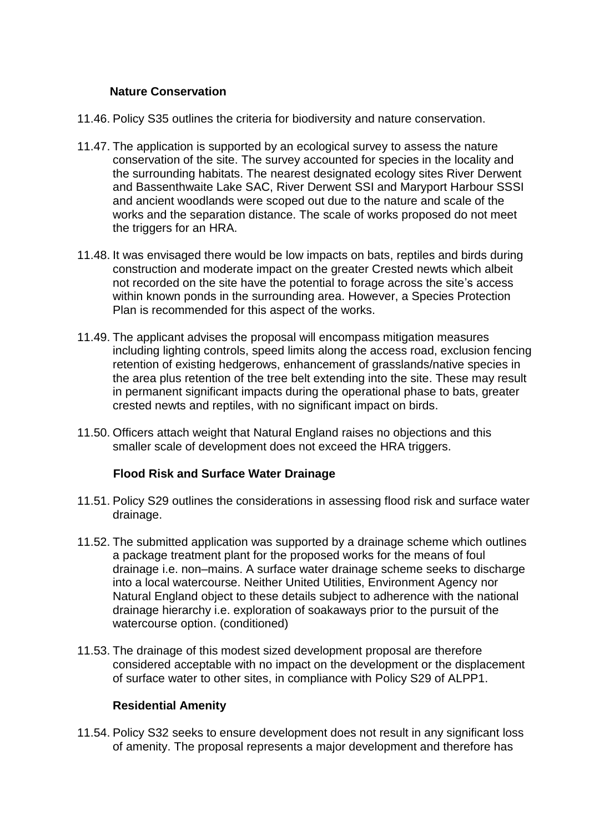### **Nature Conservation**

- 11.46. Policy S35 outlines the criteria for biodiversity and nature conservation.
- 11.47. The application is supported by an ecological survey to assess the nature conservation of the site. The survey accounted for species in the locality and the surrounding habitats. The nearest designated ecology sites River Derwent and Bassenthwaite Lake SAC, River Derwent SSI and Maryport Harbour SSSI and ancient woodlands were scoped out due to the nature and scale of the works and the separation distance. The scale of works proposed do not meet the triggers for an HRA.
- 11.48. It was envisaged there would be low impacts on bats, reptiles and birds during construction and moderate impact on the greater Crested newts which albeit not recorded on the site have the potential to forage across the site's access within known ponds in the surrounding area. However, a Species Protection Plan is recommended for this aspect of the works.
- 11.49. The applicant advises the proposal will encompass mitigation measures including lighting controls, speed limits along the access road, exclusion fencing retention of existing hedgerows, enhancement of grasslands/native species in the area plus retention of the tree belt extending into the site. These may result in permanent significant impacts during the operational phase to bats, greater crested newts and reptiles, with no significant impact on birds.
- 11.50. Officers attach weight that Natural England raises no objections and this smaller scale of development does not exceed the HRA triggers.

### **Flood Risk and Surface Water Drainage**

- 11.51. Policy S29 outlines the considerations in assessing flood risk and surface water drainage.
- 11.52. The submitted application was supported by a drainage scheme which outlines a package treatment plant for the proposed works for the means of foul drainage i.e. non–mains. A surface water drainage scheme seeks to discharge into a local watercourse. Neither United Utilities, Environment Agency nor Natural England object to these details subject to adherence with the national drainage hierarchy i.e. exploration of soakaways prior to the pursuit of the watercourse option. (conditioned)
- 11.53. The drainage of this modest sized development proposal are therefore considered acceptable with no impact on the development or the displacement of surface water to other sites, in compliance with Policy S29 of ALPP1.

### **Residential Amenity**

11.54. Policy S32 seeks to ensure development does not result in any significant loss of amenity. The proposal represents a major development and therefore has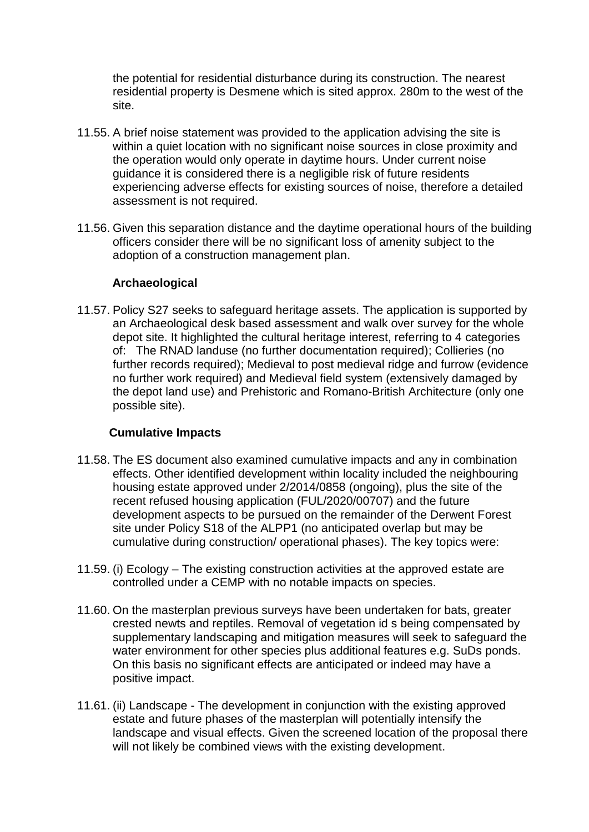the potential for residential disturbance during its construction. The nearest residential property is Desmene which is sited approx. 280m to the west of the site.

- 11.55. A brief noise statement was provided to the application advising the site is within a quiet location with no significant noise sources in close proximity and the operation would only operate in daytime hours. Under current noise guidance it is considered there is a negligible risk of future residents experiencing adverse effects for existing sources of noise, therefore a detailed assessment is not required.
- 11.56. Given this separation distance and the daytime operational hours of the building officers consider there will be no significant loss of amenity subject to the adoption of a construction management plan.

### **Archaeological**

11.57. Policy S27 seeks to safeguard heritage assets. The application is supported by an Archaeological desk based assessment and walk over survey for the whole depot site. It highlighted the cultural heritage interest, referring to 4 categories of: The RNAD landuse (no further documentation required); Collieries (no further records required); Medieval to post medieval ridge and furrow (evidence no further work required) and Medieval field system (extensively damaged by the depot land use) and Prehistoric and Romano-British Architecture (only one possible site).

## **Cumulative Impacts**

- 11.58. The ES document also examined cumulative impacts and any in combination effects. Other identified development within locality included the neighbouring housing estate approved under 2/2014/0858 (ongoing), plus the site of the recent refused housing application (FUL/2020/00707) and the future development aspects to be pursued on the remainder of the Derwent Forest site under Policy S18 of the ALPP1 (no anticipated overlap but may be cumulative during construction/ operational phases). The key topics were:
- 11.59. (i) Ecology The existing construction activities at the approved estate are controlled under a CEMP with no notable impacts on species.
- 11.60. On the masterplan previous surveys have been undertaken for bats, greater crested newts and reptiles. Removal of vegetation id s being compensated by supplementary landscaping and mitigation measures will seek to safeguard the water environment for other species plus additional features e.g. SuDs ponds. On this basis no significant effects are anticipated or indeed may have a positive impact.
- 11.61. (ii) Landscape The development in conjunction with the existing approved estate and future phases of the masterplan will potentially intensify the landscape and visual effects. Given the screened location of the proposal there will not likely be combined views with the existing development.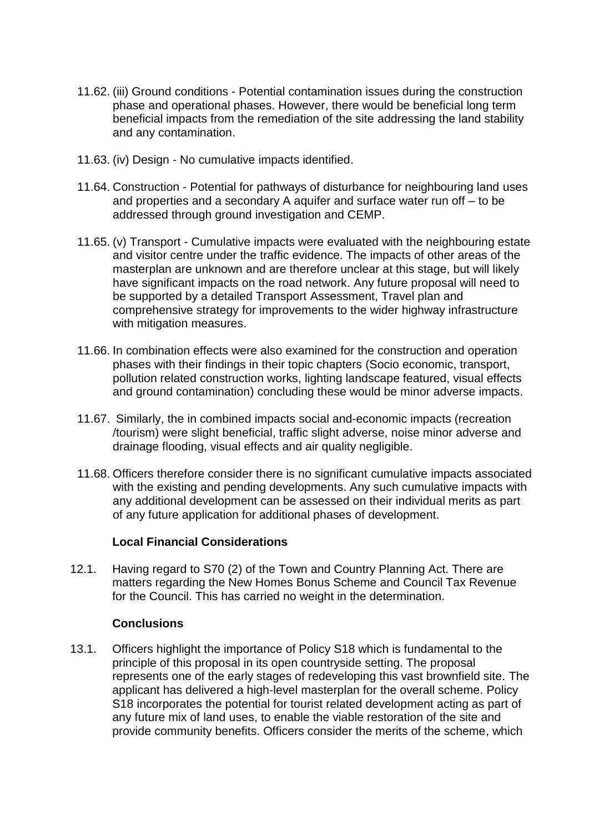- 11.62. (iii) Ground conditions Potential contamination issues during the construction phase and operational phases. However, there would be beneficial long term beneficial impacts from the remediation of the site addressing the land stability and any contamination.
- 11.63. (iv) Design No cumulative impacts identified.
- 11.64. Construction Potential for pathways of disturbance for neighbouring land uses and properties and a secondary A aquifer and surface water run off – to be addressed through ground investigation and CEMP.
- 11.65. (v) Transport Cumulative impacts were evaluated with the neighbouring estate and visitor centre under the traffic evidence. The impacts of other areas of the masterplan are unknown and are therefore unclear at this stage, but will likely have significant impacts on the road network. Any future proposal will need to be supported by a detailed Transport Assessment, Travel plan and comprehensive strategy for improvements to the wider highway infrastructure with mitigation measures.
- 11.66. In combination effects were also examined for the construction and operation phases with their findings in their topic chapters (Socio economic, transport, pollution related construction works, lighting landscape featured, visual effects and ground contamination) concluding these would be minor adverse impacts.
- 11.67. Similarly, the in combined impacts social and-economic impacts (recreation /tourism) were slight beneficial, traffic slight adverse, noise minor adverse and drainage flooding, visual effects and air quality negligible.
- 11.68. Officers therefore consider there is no significant cumulative impacts associated with the existing and pending developments. Any such cumulative impacts with any additional development can be assessed on their individual merits as part of any future application for additional phases of development.

### **Local Financial Considerations**

12.1. Having regard to S70 (2) of the Town and Country Planning Act. There are matters regarding the New Homes Bonus Scheme and Council Tax Revenue for the Council. This has carried no weight in the determination.

### **Conclusions**

13.1. Officers highlight the importance of Policy S18 which is fundamental to the principle of this proposal in its open countryside setting. The proposal represents one of the early stages of redeveloping this vast brownfield site. The applicant has delivered a high-level masterplan for the overall scheme. Policy S18 incorporates the potential for tourist related development acting as part of any future mix of land uses, to enable the viable restoration of the site and provide community benefits. Officers consider the merits of the scheme, which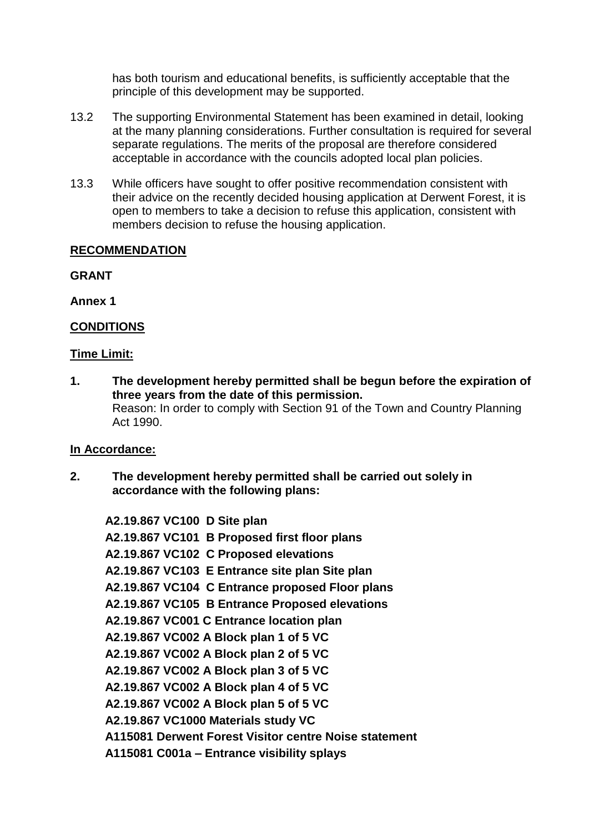has both tourism and educational benefits, is sufficiently acceptable that the principle of this development may be supported.

- 13.2 The supporting Environmental Statement has been examined in detail, looking at the many planning considerations. Further consultation is required for several separate regulations. The merits of the proposal are therefore considered acceptable in accordance with the councils adopted local plan policies.
- 13.3 While officers have sought to offer positive recommendation consistent with their advice on the recently decided housing application at Derwent Forest, it is open to members to take a decision to refuse this application, consistent with members decision to refuse the housing application.

## **RECOMMENDATION**

**GRANT** 

**Annex 1**

## **CONDITIONS**

### **Time Limit:**

**1. The development hereby permitted shall be begun before the expiration of three years from the date of this permission.** Reason: In order to comply with Section 91 of the Town and Country Planning Act 1990.

### **In Accordance:**

**2. The development hereby permitted shall be carried out solely in accordance with the following plans:**

**A2.19.867 VC100 D Site plan A2.19.867 VC101 B Proposed first floor plans A2.19.867 VC102 C Proposed elevations A2.19.867 VC103 E Entrance site plan Site plan A2.19.867 VC104 C Entrance proposed Floor plans A2.19.867 VC105 B Entrance Proposed elevations A2.19.867 VC001 C Entrance location plan A2.19.867 VC002 A Block plan 1 of 5 VC A2.19.867 VC002 A Block plan 2 of 5 VC A2.19.867 VC002 A Block plan 3 of 5 VC A2.19.867 VC002 A Block plan 4 of 5 VC A2.19.867 VC002 A Block plan 5 of 5 VC A2.19.867 VC1000 Materials study VC A115081 Derwent Forest Visitor centre Noise statement A115081 C001a – Entrance visibility splays**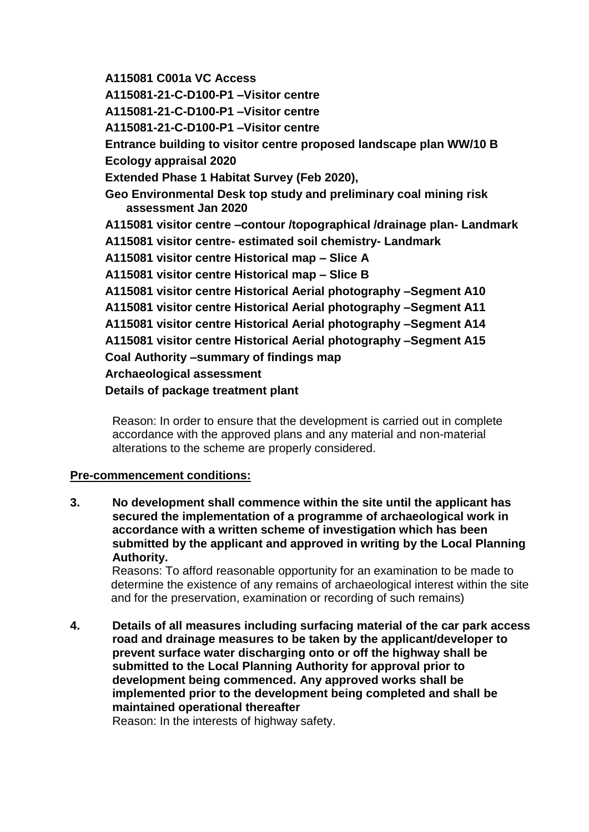**A115081 C001a VC Access**

**A115081-21-C-D100-P1 –Visitor centre**

**A115081-21-C-D100-P1 –Visitor centre**

**A115081-21-C-D100-P1 –Visitor centre**

**Entrance building to visitor centre proposed landscape plan WW/10 B Ecology appraisal 2020**

**Extended Phase 1 Habitat Survey (Feb 2020),** 

**Geo Environmental Desk top study and preliminary coal mining risk assessment Jan 2020**

**A115081 visitor centre –contour /topographical /drainage plan- Landmark**

**A115081 visitor centre- estimated soil chemistry- Landmark**

**A115081 visitor centre Historical map – Slice A** 

**A115081 visitor centre Historical map – Slice B**

**A115081 visitor centre Historical Aerial photography –Segment A10**

**A115081 visitor centre Historical Aerial photography –Segment A11**

**A115081 visitor centre Historical Aerial photography –Segment A14**

**A115081 visitor centre Historical Aerial photography –Segment A15**

**Coal Authority –summary of findings map** 

**Archaeological assessment**

**Details of package treatment plant**

Reason: In order to ensure that the development is carried out in complete accordance with the approved plans and any material and non-material alterations to the scheme are properly considered.

## **Pre-commencement conditions:**

**3. No development shall commence within the site until the applicant has secured the implementation of a programme of archaeological work in accordance with a written scheme of investigation which has been submitted by the applicant and approved in writing by the Local Planning Authority.**

 Reasons: To afford reasonable opportunity for an examination to be made to determine the existence of any remains of archaeological interest within the site and for the preservation, examination or recording of such remains)

**4. Details of all measures including surfacing material of the car park access road and drainage measures to be taken by the applicant/developer to prevent surface water discharging onto or off the highway shall be submitted to the Local Planning Authority for approval prior to development being commenced. Any approved works shall be implemented prior to the development being completed and shall be maintained operational thereafter** 

Reason: In the interests of highway safety.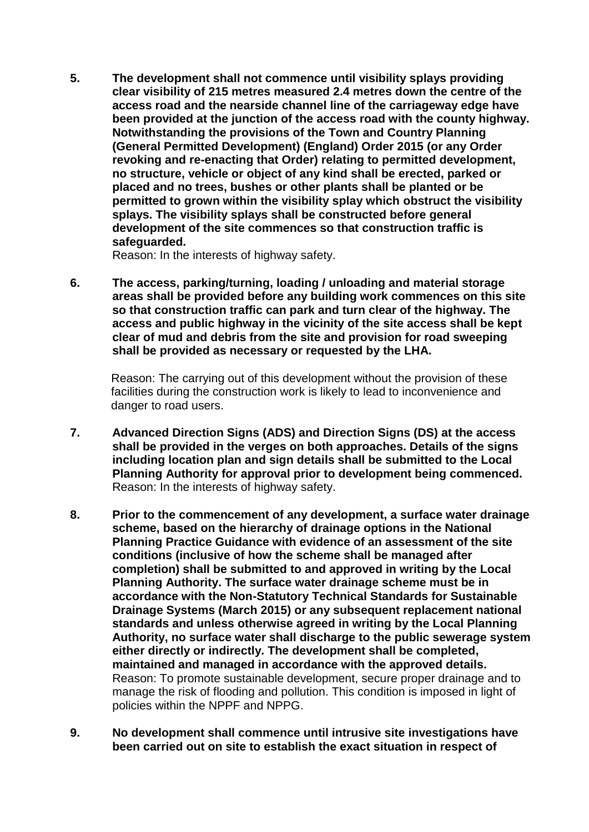**5. The development shall not commence until visibility splays providing clear visibility of 215 metres measured 2.4 metres down the centre of the access road and the nearside channel line of the carriageway edge have been provided at the junction of the access road with the county highway. Notwithstanding the provisions of the Town and Country Planning (General Permitted Development) (England) Order 2015 (or any Order revoking and re-enacting that Order) relating to permitted development, no structure, vehicle or object of any kind shall be erected, parked or placed and no trees, bushes or other plants shall be planted or be permitted to grown within the visibility splay which obstruct the visibility splays. The visibility splays shall be constructed before general development of the site commences so that construction traffic is safeguarded.** 

Reason: In the interests of highway safety.

**6. The access, parking/turning, loading / unloading and material storage areas shall be provided before any building work commences on this site so that construction traffic can park and turn clear of the highway. The access and public highway in the vicinity of the site access shall be kept clear of mud and debris from the site and provision for road sweeping shall be provided as necessary or requested by the LHA.** 

Reason: The carrying out of this development without the provision of these facilities during the construction work is likely to lead to inconvenience and danger to road users.

- **7. Advanced Direction Signs (ADS) and Direction Signs (DS) at the access shall be provided in the verges on both approaches. Details of the signs including location plan and sign details shall be submitted to the Local Planning Authority for approval prior to development being commenced.**  Reason: In the interests of highway safety.
- **8. Prior to the commencement of any development, a surface water drainage scheme, based on the hierarchy of drainage options in the National Planning Practice Guidance with evidence of an assessment of the site conditions (inclusive of how the scheme shall be managed after completion) shall be submitted to and approved in writing by the Local Planning Authority. The surface water drainage scheme must be in accordance with the Non-Statutory Technical Standards for Sustainable Drainage Systems (March 2015) or any subsequent replacement national standards and unless otherwise agreed in writing by the Local Planning Authority, no surface water shall discharge to the public sewerage system either directly or indirectly. The development shall be completed, maintained and managed in accordance with the approved details.** Reason: To promote sustainable development, secure proper drainage and to manage the risk of flooding and pollution. This condition is imposed in light of policies within the NPPF and NPPG.
- **9. No development shall commence until intrusive site investigations have been carried out on site to establish the exact situation in respect of**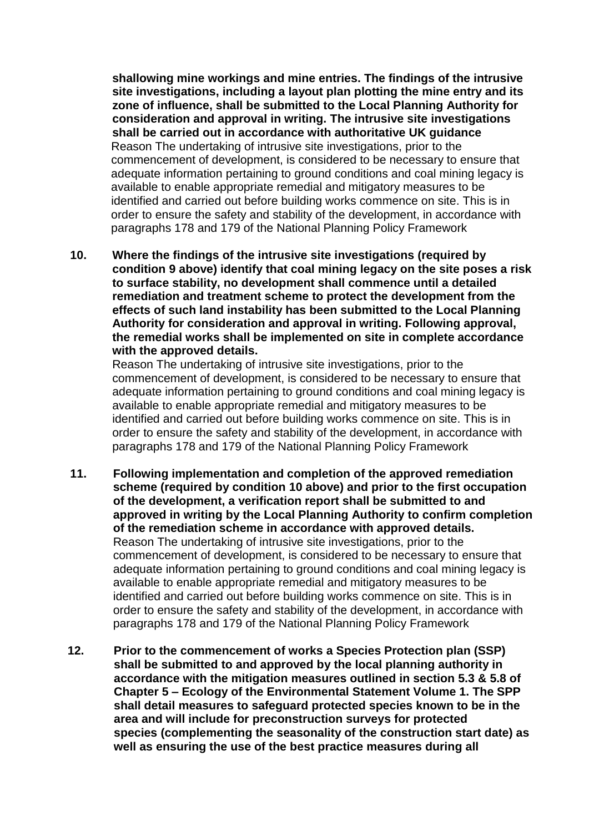**shallowing mine workings and mine entries. The findings of the intrusive site investigations, including a layout plan plotting the mine entry and its zone of influence, shall be submitted to the Local Planning Authority for consideration and approval in writing. The intrusive site investigations shall be carried out in accordance with authoritative UK guidance** Reason The undertaking of intrusive site investigations, prior to the commencement of development, is considered to be necessary to ensure that adequate information pertaining to ground conditions and coal mining legacy is available to enable appropriate remedial and mitigatory measures to be identified and carried out before building works commence on site. This is in order to ensure the safety and stability of the development, in accordance with paragraphs 178 and 179 of the National Planning Policy Framework

**10. Where the findings of the intrusive site investigations (required by condition 9 above) identify that coal mining legacy on the site poses a risk to surface stability, no development shall commence until a detailed remediation and treatment scheme to protect the development from the effects of such land instability has been submitted to the Local Planning Authority for consideration and approval in writing. Following approval, the remedial works shall be implemented on site in complete accordance with the approved details.**

Reason The undertaking of intrusive site investigations, prior to the commencement of development, is considered to be necessary to ensure that adequate information pertaining to ground conditions and coal mining legacy is available to enable appropriate remedial and mitigatory measures to be identified and carried out before building works commence on site. This is in order to ensure the safety and stability of the development, in accordance with paragraphs 178 and 179 of the National Planning Policy Framework

- **11. Following implementation and completion of the approved remediation scheme (required by condition 10 above) and prior to the first occupation of the development, a verification report shall be submitted to and approved in writing by the Local Planning Authority to confirm completion of the remediation scheme in accordance with approved details.**  Reason The undertaking of intrusive site investigations, prior to the commencement of development, is considered to be necessary to ensure that adequate information pertaining to ground conditions and coal mining legacy is available to enable appropriate remedial and mitigatory measures to be identified and carried out before building works commence on site. This is in order to ensure the safety and stability of the development, in accordance with paragraphs 178 and 179 of the National Planning Policy Framework
- **12. Prior to the commencement of works a Species Protection plan (SSP) shall be submitted to and approved by the local planning authority in accordance with the mitigation measures outlined in section 5.3 & 5.8 of Chapter 5 – Ecology of the Environmental Statement Volume 1. The SPP shall detail measures to safeguard protected species known to be in the area and will include for preconstruction surveys for protected species (complementing the seasonality of the construction start date) as well as ensuring the use of the best practice measures during all**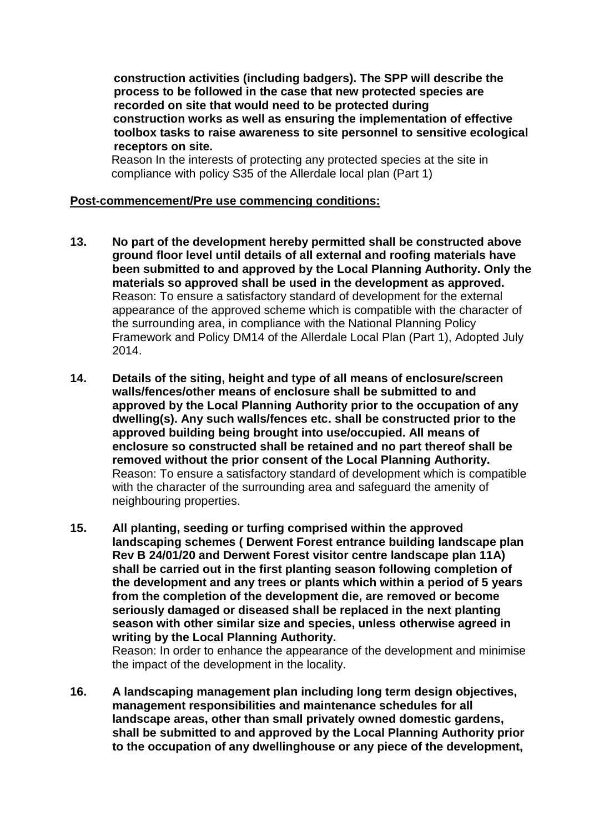**construction activities (including badgers). The SPP will describe the process to be followed in the case that new protected species are recorded on site that would need to be protected during construction works as well as ensuring the implementation of effective toolbox tasks to raise awareness to site personnel to sensitive ecological receptors on site.** 

 Reason In the interests of protecting any protected species at the site in compliance with policy S35 of the Allerdale local plan (Part 1)

#### **Post-commencement/Pre use commencing conditions:**

- **13. No part of the development hereby permitted shall be constructed above ground floor level until details of all external and roofing materials have been submitted to and approved by the Local Planning Authority. Only the materials so approved shall be used in the development as approved.** Reason: To ensure a satisfactory standard of development for the external appearance of the approved scheme which is compatible with the character of the surrounding area, in compliance with the National Planning Policy Framework and Policy DM14 of the Allerdale Local Plan (Part 1), Adopted July 2014.
- **14. Details of the siting, height and type of all means of enclosure/screen walls/fences/other means of enclosure shall be submitted to and approved by the Local Planning Authority prior to the occupation of any dwelling(s). Any such walls/fences etc. shall be constructed prior to the approved building being brought into use/occupied. All means of enclosure so constructed shall be retained and no part thereof shall be removed without the prior consent of the Local Planning Authority.** Reason: To ensure a satisfactory standard of development which is compatible with the character of the surrounding area and safeguard the amenity of neighbouring properties.
- **15. All planting, seeding or turfing comprised within the approved landscaping schemes ( Derwent Forest entrance building landscape plan Rev B 24/01/20 and Derwent Forest visitor centre landscape plan 11A) shall be carried out in the first planting season following completion of the development and any trees or plants which within a period of 5 years from the completion of the development die, are removed or become seriously damaged or diseased shall be replaced in the next planting season with other similar size and species, unless otherwise agreed in writing by the Local Planning Authority.**

Reason: In order to enhance the appearance of the development and minimise the impact of the development in the locality.

**16. A landscaping management plan including long term design objectives, management responsibilities and maintenance schedules for all landscape areas, other than small privately owned domestic gardens, shall be submitted to and approved by the Local Planning Authority prior to the occupation of any dwellinghouse or any piece of the development,**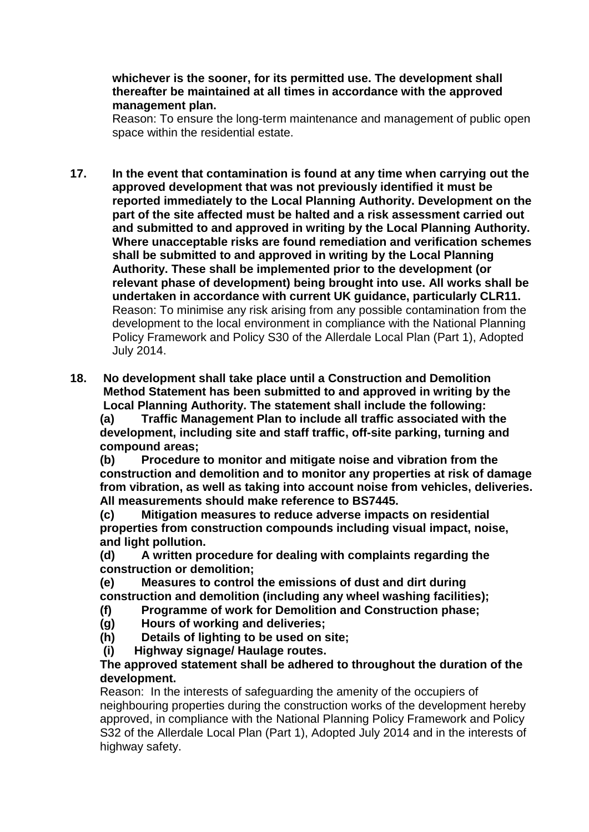### **whichever is the sooner, for its permitted use. The development shall thereafter be maintained at all times in accordance with the approved management plan.**

Reason: To ensure the long-term maintenance and management of public open space within the residential estate.

**17. In the event that contamination is found at any time when carrying out the approved development that was not previously identified it must be reported immediately to the Local Planning Authority. Development on the part of the site affected must be halted and a risk assessment carried out and submitted to and approved in writing by the Local Planning Authority. Where unacceptable risks are found remediation and verification schemes shall be submitted to and approved in writing by the Local Planning Authority. These shall be implemented prior to the development (or relevant phase of development) being brought into use. All works shall be undertaken in accordance with current UK guidance, particularly CLR11.** Reason: To minimise any risk arising from any possible contamination from the development to the local environment in compliance with the National Planning Policy Framework and Policy S30 of the Allerdale Local Plan (Part 1), Adopted July 2014.

**18. No development shall take place until a Construction and Demolition Method Statement has been submitted to and approved in writing by the Local Planning Authority. The statement shall include the following:**

 **(a) Traffic Management Plan to include all traffic associated with the development, including site and staff traffic, off-site parking, turning and compound areas;**

 **(b) Procedure to monitor and mitigate noise and vibration from the construction and demolition and to monitor any properties at risk of damage from vibration, as well as taking into account noise from vehicles, deliveries. All measurements should make reference to BS7445.**

 **(c) Mitigation measures to reduce adverse impacts on residential properties from construction compounds including visual impact, noise, and light pollution.**

 **(d) A written procedure for dealing with complaints regarding the construction or demolition;**

 **(e) Measures to control the emissions of dust and dirt during construction and demolition (including any wheel washing facilities);**

- **(f) Programme of work for Demolition and Construction phase;**
- **(g) Hours of working and deliveries;**
- **(h) Details of lighting to be used on site;**
- **(i) Highway signage/ Haulage routes.**

### **The approved statement shall be adhered to throughout the duration of the development.**

 Reason: In the interests of safeguarding the amenity of the occupiers of neighbouring properties during the construction works of the development hereby approved, in compliance with the National Planning Policy Framework and Policy S32 of the Allerdale Local Plan (Part 1), Adopted July 2014 and in the interests of highway safety.